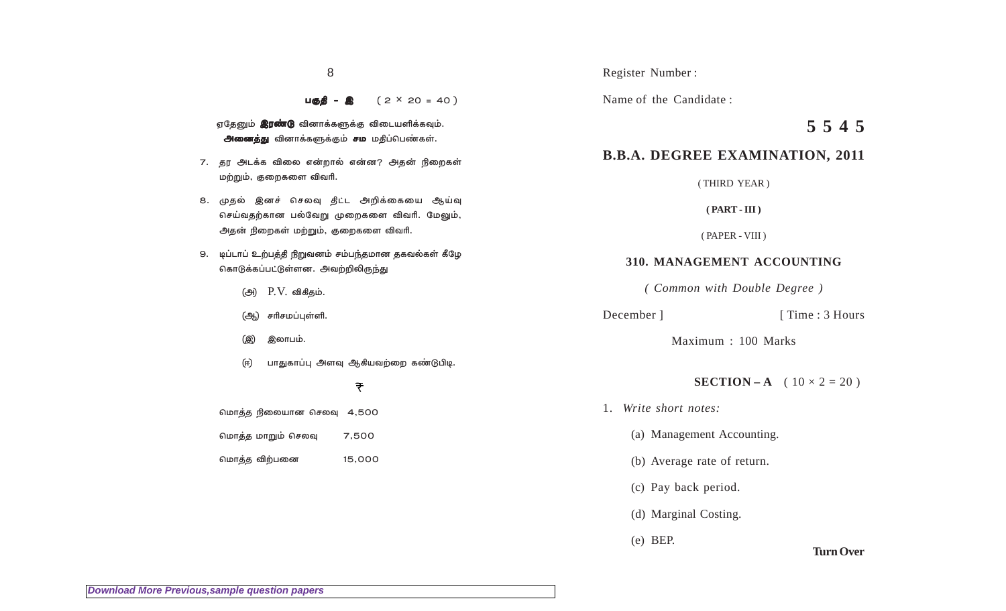8

 $µ$ <sup> $\bullet$ </sup>  $\bullet$   $\bullet$   $(2 \times 20 = 40)$ 

- ஏதேனும் **இரண்டு** வினாக்களுக்கு விடையளிக்கவும். அனைத்து வினாக்களுக்கும் சம மதிப்பெண்கள்.
- 7. தர அடக்க விலை என்றால் என்ன? அதன் நிறைகள் மற்றும், குறைகளை விவரி.
- 8. முதல் இனச் செலவு தீட்ட அறிக்கையை ஆய்வு செய்வதற்கான பல்வேறு முறைகளை விவரி. மேலும், அதன் நிறைகள் மற்றும், குறைகளை விவ**ரி.**
- 9. டிப்டாப் உற்பத்தி நிறுவனம் சம்பந்தமான தகவல்கள் கீழே கொடுக்கப்பட்டுள்ளன. அவற்றிலிருந்து
	- (அ) P.V. விகிதம்.
	- (ஆ) சரிசமப்புள்ளி.
	- (இ) இலாபம்.
	- (ஈ) பாதுகாப்பு அளவு ஆகியவற்றை கண்டுபிடி.

## ₹

மொத்த நிலையான செலவு 4,500

மொத்த மாறும் செலவு 7,500

மொத்த விற்பனை 15,000

Register Number :

Name of the Candidate :

# **5 5 4 5**

## **B.B.A. DEGREE EXAMINATION, 2011**

( THIRD YEAR )

**( PART - III )**

( PAPER - VIII )

## **310. MANAGEMENT ACCOUNTING**

*( Common with Double Degree )*

#### December ] [ Time : 3 Hours

Maximum : 100 Marks

#### **SECTION – A** (  $10 \times 2 = 20$  )

- 1. *Write short notes:*
	- (a) Management Accounting.
	- (b) Average rate of return.
	- (c) Pay back period.
	- (d) Marginal Costing.
	- (e) BEP.

#### **Turn Over**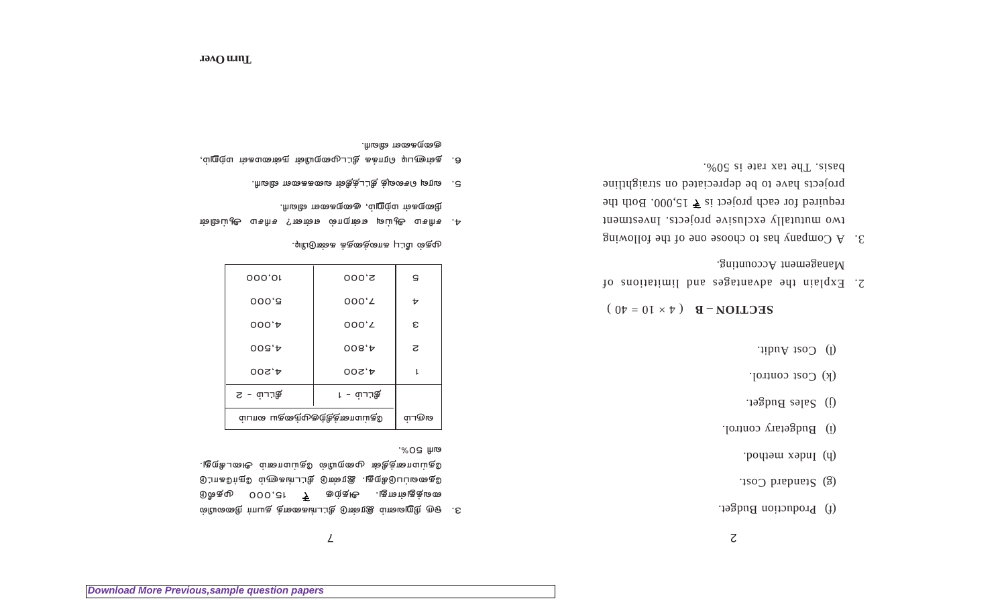- (f) Production Budget.
- (g) Standard Cost.
- (h) Index method.
- (i) Budgetary control.
- (j) Sales Budget.
- (k) Cost control.
- (l) Cost Audit.

 $RECLIOA - B$   $(\forall \times 10 = 0)$ 

- 2. Explain the advantages and limitations of  $M$ anagement Accounting.
- 3. A Company has to choose one of the following two mututally exclusive projects. Investment 15,000. Both the required the reduced property equations of the reduced property  $\frac{1}{2}$  is  $\frac{1}{2}$  is  $\frac{1}{2}$  is  $\frac{1}{2}$  is  $\frac{1}{2}$  is  $\frac{1}{2}$  is  $\frac{1}{2}$  is  $\frac{1}{2}$  is  $\frac{1}{2}$  is  $\frac{1}{2}$  is  $\frac{1}{2}$  projects have to be depreciated on straightline basis. The tax rate is 50%.

## $\mathcal{L}$

3. ஒடு நிறுவனம் இரண்டு திட்டங்களைத் தயா**ர் நிலையி**ல்  $\begin{matrix} 0 & \text{the } 0 & \text{the } 0 & \text{the } 0 & \text{the } 0 & \text{the } 0 & \text{the } 0 & \text{the } 0 & \text{the } 0 & \text{the } 0 & \text{the } 0 & \text{the } 0 & \text{the } 0 & \text{the } 0 & \text{the } 0 & \text{the } 0 & \text{the } 0 & \text{the } 0 & \text{the } 0 & \text{the } 0 & \text{the } 0 & \text{the } 0 & \text{the } 0 & \text{the } 0 & \text{the } 0 & \text{the } 0 & \text{the } 0 & \text{the$  $\mathfrak{g}$ ு அடுவின்ற சிட்டி திண்டு .குறுகிபப்டிகை தி ித்திரை மூலம் ஜின் மாவம் அடைகீறது.<br>பிரும் பி .%೦ଟ Ihia

| 000,01                      | 000.S            | G        |
|-----------------------------|------------------|----------|
| 000, 3                      | $000^{\prime}$   | ь        |
| 000't                       | 000 <sub>c</sub> | ε        |
| $003.*$                     | 008, A           | 7.       |
| 00S, A                      | 00S, A           |          |
| த்டம் - 2                   | தெர் – 1 – 1     |          |
| ம்பான பகுதைமுகுழித்தனாய் கி |                  | פּזישרוד |

 $\cdot$ முதல் மீட்பு காலத்தைக் கண்டுபிடி.

- 4. சரிசம ஆய்வு என்றால் என்ன? சரிசம ஆய்வின்  $\cdot$ ரிடிவின் மந்றும், குறைகளை விவரி.
- $5.$  බොහු වාහෙබු වි" පළාදී සිරියේ මාගෙසෙ නිවා!
- $6.$  தள்ளுபடி ரொக்க தீட்டமுறையின் நன்மைகள் மற்றும், .thடவின் எ‱கறு ஞ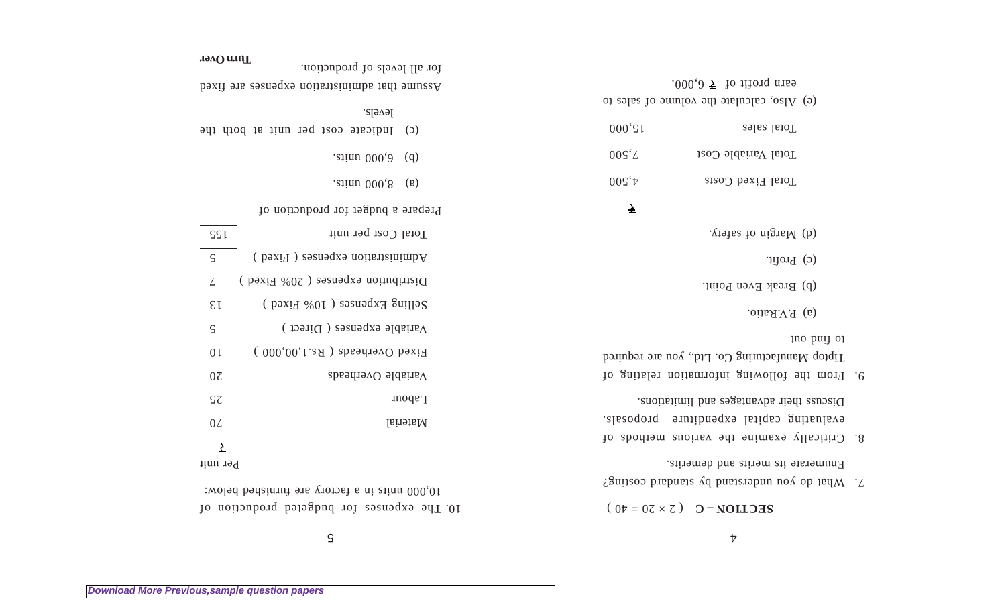$\mathsf S$ 

10. The expenses for budgeted production of 10,000 units in a factory are furnished below:

Per unit

**Turn Over**

|                 | $\cdot$ <i>exignu</i> $000,8$<br>$(\mathfrak{v})$ |
|-----------------|---------------------------------------------------|
|                 | Prepare a budget for production of                |
| SSI             | Total Cost per unit                               |
| $\varsigma$     | Administration expenses (Fixed)                   |
| L               | Distribution expenses $(20\% \text{ Fixed})$      |
| $\mathcal{E}$ I | Selling Expenses ( $10\%$ Fixed)                  |
| $\varsigma$     | Variable expenses (Direct)                        |
| 0 <sub>I</sub>  | Fixed Overheads (Rs.1,00,000)                     |
| $0\zeta$        | Variable Overheads                                |
| $\varsigma\tau$ | $\mathop{\text{mod}}\nolimits$ rn                 |
| 0L              | Material                                          |
| ₹               |                                                   |

(c) Indicate cost per unit at both the

Assume that administration expenses are fixed

 $.$  exituu 000, d).

levels.

for all levels of production.

| . vto also nigram $(b)$                                   |
|-----------------------------------------------------------|
| $\int$ (c) Profit.                                        |
| (b) Break Even Point.                                     |
| .oii $\Delta$ <i>N</i> , Ratio.                           |
| to find but                                               |
| Tiptop Manufacturing Co. Ltd., you are required           |
| 10 gnitsler noitsmrothi gniwollot edt morf .0             |
| Discuss their advantages and limitations.                 |
| evaluating capital expenditure proposals.                 |
| 10 abodient examine the various methods of                |
| Enumerate its merits and demerits.                        |
| $\mathcal{L}$ What do you understand by standard costing? |

 $2 \text{ECLIO} - C$   $20 = 0$ 

|                     | .000,0 $\overline{5}$ fo ifford miss<br>(e) Also, calculate the volume of sales to |
|---------------------|------------------------------------------------------------------------------------|
| $000 \text{'S}$ I   | Total sales                                                                        |
| $00S^{\dagger}L$    | Total Variable Cost                                                                |
| $00\zeta^{\dagger}$ | Total Fixed Costs                                                                  |
| <u>소</u>            |                                                                                    |
|                     | . vtates to niguaM (b)                                                             |
|                     | $\text{tri}$ (c)                                                                   |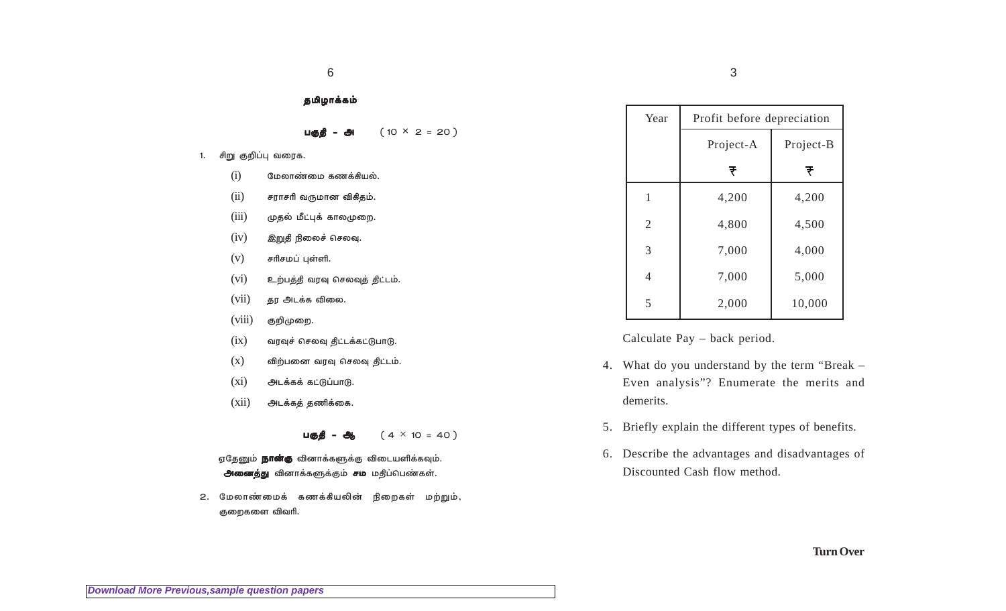| கமிமாக்கம் |  |
|------------|--|
|            |  |

| பகுதி – அ | $(10 \times 2 = 20)$ |
|-----------|----------------------|
|-----------|----------------------|

1. சிறு குறிப்பு வரைக.

| (i) | மேலாண்மை கணக்கியல். |  |
|-----|---------------------|--|
|     |                     |  |

- $(ii)$ சராசரி வருமான விகிதம்.
- $(iii)$ முதல் மீட்புக் காலமுறை.
- $(iv)$ இறுதி நிலைச் செலவு.
- $(v)$ சரிசமப் புள்ளி.
- $(vi)$ உற்பத்தி வரவு செலவுத் திட்டம்.
- $(vii)$ தர அடக்க விலை.
- குறிமுறை.  $(viii)$
- $(ix)$ வரவுச் செலவு திட்டக்கட்டுபாடு.
- $(x)$ விற்பனை வரவு செலவு திட்டம்.
- $(x_i)$ அடக்கக் கட்டுப்பாடு.
- $(xii)$ அடக்கத் தணிக்கை.

 $(4 \times 10 = 40)$ பகுதி – ஆ

ஏதேனும் **நான்கு** வினாக்களுக்கு விடையளிக்கவும். அனைத்து வினாக்களுக்கும் சம மதிப்பெண்கள்.

2. மேலாண்மைக் கணக்கியலின் நிறைகள் மற்றும், குறைகளை விவரி.

| Year           | Profit before depreciation |           |  |
|----------------|----------------------------|-----------|--|
|                | Project-A                  | Project-B |  |
|                | ₹                          | ₹         |  |
| 1              | 4,200                      | 4,200     |  |
| $\overline{2}$ | 4,800                      | 4,500     |  |
| 3              | 7,000                      | 4,000     |  |
|                | 7,000                      | 5,000     |  |

Calculate Pay – back period.

5

4. What do you understand by the term "Break -Even analysis"? Enumerate the merits and demerits.

2,000

10,000

- 5. Briefly explain the different types of benefits.
- 6. Describe the advantages and disadvantages of Discounted Cash flow method.